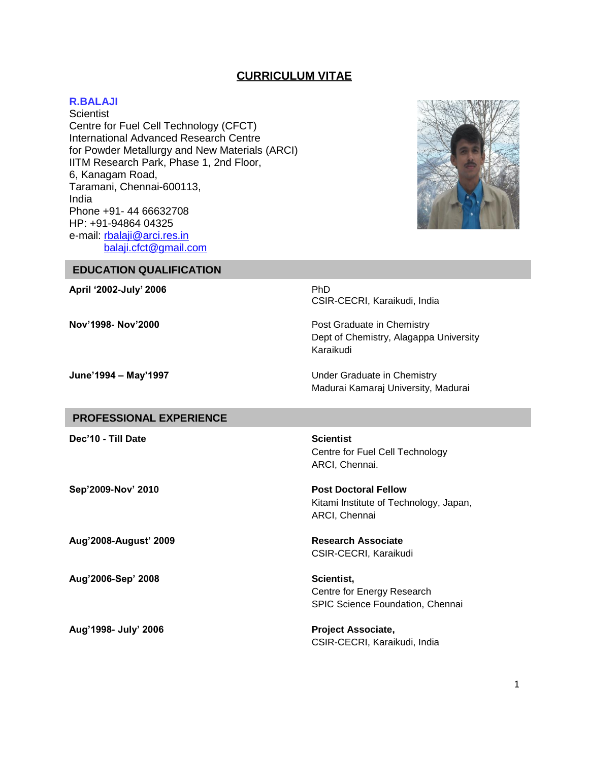# **CURRICULUM VITAE**

#### **R.BALAJI**

**Scientist** Centre for Fuel Cell Technology (CFCT) International Advanced Research Centre for Powder Metallurgy and New Materials (ARCI) IITM Research Park, Phase 1, 2nd Floor, 6, Kanagam Road, Taramani, Chennai-600113, India Phone +91- 44 66632708 HP: +91-94864 04325 e-mail: [rbalaji@arci.res.in](mailto:rbalaji@arci.res.in) [balaji.cfct@gmail.com](mailto:balaji.cfct@gmail.com)



**EDUCATION QUALIFICATION**

**April '2002-July' 2006** PhD

**Nov'1998- Nov'2000** Post Graduate in Chemistry

CSIR-CECRI, Karaikudi, India

Dept of Chemistry, Alagappa University Karaikudi

**June'1994 – May'1997** Under Graduate in Chemistry Madurai Kamaraj University, Madurai

## **PROFESSIONAL EXPERIENCE**

**Dec'10 - Till Date Scientist** 

**Sep'2009-Nov' 2010 Post Doctoral Fellow**

**Aug'2008-August' 2009 Research Associate**

**Aug'2006-Sep' 2008 Scientist,**

**Aug'1998- July' 2006 Project Associate,**

Centre for Fuel Cell Technology ARCI, Chennai.

Kitami Institute of Technology, Japan, ARCI, Chennai

CSIR-CECRI, Karaikudi

Centre for Energy Research SPIC Science Foundation, Chennai

CSIR-CECRI, Karaikudi, India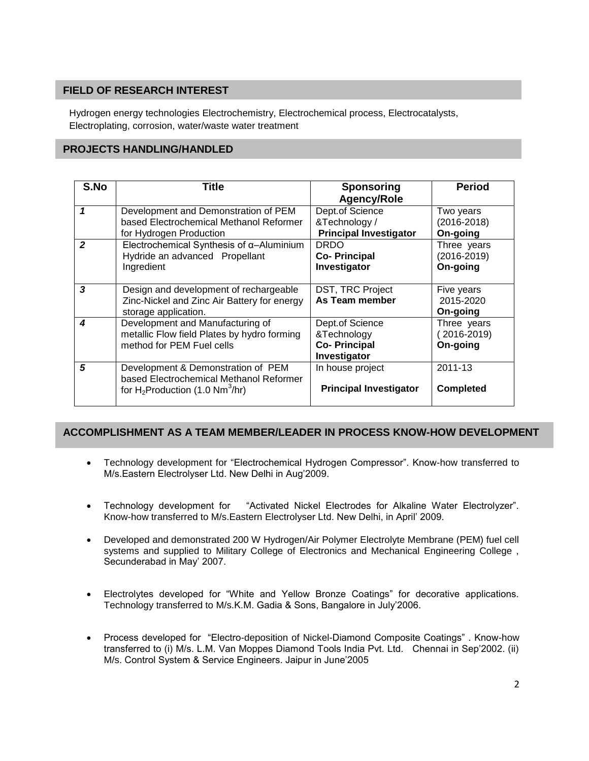# **FIELD OF RESEARCH INTEREST**

Hydrogen energy technologies Electrochemistry, Electrochemical process, Electrocatalysts, Electroplating, corrosion, water/waste water treatment ,Electrocatalysis, , Electroplating , corrosion, water/waste water treatment

# **PROJECTS HANDLING/HANDLED**

| S.No           | Title                                                                                                                           | <b>Sponsoring</b><br><b>Agency/Role</b>                               | <b>Period</b>                              |
|----------------|---------------------------------------------------------------------------------------------------------------------------------|-----------------------------------------------------------------------|--------------------------------------------|
|                | Development and Demonstration of PEM<br>based Electrochemical Methanol Reformer<br>for Hydrogen Production                      | Dept.of Science<br>&Technology /<br><b>Principal Investigator</b>     | Two years<br>$(2016 - 2018)$<br>On-going   |
| $\overline{2}$ | Electrochemical Synthesis of $\alpha$ -Aluminium<br>Hydride an advanced Propellant<br>Ingredient                                | <b>DRDO</b><br><b>Co-Principal</b><br>Investigator                    | Three years<br>$(2016 - 2019)$<br>On-going |
| 3              | Design and development of rechargeable<br>Zinc-Nickel and Zinc Air Battery for energy<br>storage application.                   | DST, TRC Project<br>As Team member                                    | Five years<br>2015-2020<br>On-going        |
| 4              | Development and Manufacturing of<br>metallic Flow field Plates by hydro forming<br>method for PEM Fuel cells                    | Dept.of Science<br>&Technology<br><b>Co-Principal</b><br>Investigator | Three years<br>2016-2019)<br>On-going      |
| 5              | Development & Demonstration of PEM<br>based Electrochemical Methanol Reformer<br>for $H_2$ Production (1.0 Nm <sup>3</sup> /hr) | In house project<br><b>Principal Investigator</b>                     | 2011-13<br><b>Completed</b>                |

# **ACCOMPLISHMENT AS A TEAM MEMBER/LEADER IN PROCESS KNOW-HOW DEVELOPMENT**

- Technology development for "Electrochemical Hydrogen Compressor". Know-how transferred to M/s.Eastern Electrolyser Ltd. New Delhi in Aug'2009.
- Technology development for "Activated Nickel Electrodes for Alkaline Water Electrolyzer". Know-how transferred to M/s.Eastern Electrolyser Ltd. New Delhi, in April' 2009.
- Developed and demonstrated 200 W Hydrogen/Air Polymer Electrolyte Membrane (PEM) fuel cell systems and supplied to Military College of Electronics and Mechanical Engineering College , Secunderabad in May' 2007.
- Electrolytes developed for "White and Yellow Bronze Coatings" for decorative applications. Technology transferred to M/s.K.M. Gadia & Sons, Bangalore in July'2006.
- Process developed for "Electro-deposition of Nickel-Diamond Composite Coatings" . Know-how transferred to (i) M/s. L.M. Van Moppes Diamond Tools India Pvt. Ltd. Chennai in Sep'2002. (ii) M/s. Control System & Service Engineers. Jaipur in June'2005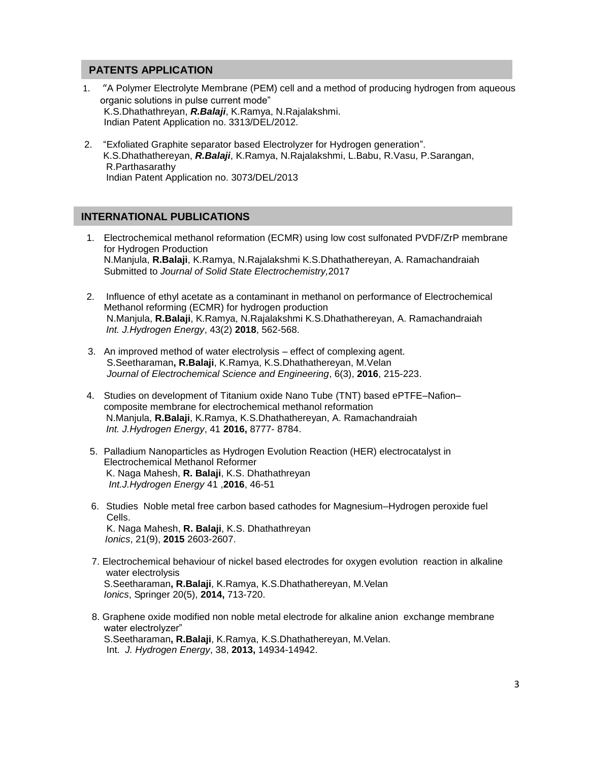### **PATENTS APPLICATION**

- 1. "A Polymer Electrolyte Membrane (PEM) cell and a method of producing hydrogen from aqueous organic solutions in pulse current mode"<br>
Hydrogen energy technologies in pulse current mode" K.S.Dhathathreyan, *R.Balaji*, K.Ramya, N.Rajalakshmi. ,Electrocatalysis, , Electroplating , corrosion, water/waste water treatment Indian Patent Application no. 3313/DEL/2012.
- 2. "Exfoliated Graphite separator based Electrolyzer for Hydrogen generation". K.S.Dhathathereyan, *R.Balaji*, K.Ramya, N.Rajalakshmi, L.Babu, R.Vasu, P.Sarangan, R.Parthasarathy Indian Patent Application no. 3073/DEL/2013

## **INTERNATIONAL PUBLICATIONS**

- 1. Electrochemical methanol reformation (ECMR) using low cost sulfonated PVDF/ZrP membrane for Hydrogen Production for Hydrogen Production N.Manjula, R.Balaji, K.Ramya, N.Rajalakshmi K.S.Dhathathereyan, A. Ramachandraiah Submitted to *Journal of Solid State Electrochemistry,*2017
- 2. Influence of ethyl acetate as a contaminant in methanol on performance of Electrochemical Methanol reforming (ECMR) for hydrogen production N.Manjula, **R.Balaji**, K.Ramya, N.Rajalakshmi K.S.Dhathathereyan, A. Ramachandraiah *Int. J.Hydrogen Energy*, 43(2) **2018**, 562-568.
- 3. An improved method of water electrolysis effect of complexing agent. S.Seetharaman**, R.Balaji**, K.Ramya, K.S.Dhathathereyan, M.Velan  *Journal of Electrochemical Science and Engineering*, 6(3), **2016**, 215-223.
- 4. Studies on development of Titanium oxide Nano Tube (TNT) based ePTFE–Nafion– composite membrane for electrochemical methanol reformation N.Manjula, **R.Balaji**, K.Ramya, K.S.Dhathathereyan, A. Ramachandraiah *Int. J.Hydrogen Energy*, 41 **2016,** 8777- 8784.
- 5. Palladium Nanoparticles as Hydrogen Evolution Reaction (HER) electrocatalyst in Electrochemical Methanol Reformer K. Naga Mahesh, **R. Balaji**, K.S. Dhathathreyan *Int.J.Hydrogen Energy* 41 ,**2016**, 46-51
- 6. Studies Noble metal free carbon based cathodes for Magnesium–Hydrogen peroxide fuel Cells. K. Naga Mahesh, **R. Balaji**, K.S. Dhathathreyan *Ionics*, 21(9), **2015** 2603-2607.
- 7. Electrochemical behaviour of nickel based electrodes for oxygen evolution reaction in alkaline water electrolysis S.Seetharaman**, R.Balaji**, K.Ramya, K.S.Dhathathereyan, M.Velan *Ionics*, Springer 20(5), **2014,** 713-720.
- 8. Graphene oxide modified non noble metal electrode for alkaline anion exchange membrane water electrolyzer" S.Seetharaman**, R.Balaji**, K.Ramya, K.S.Dhathathereyan, M.Velan. Int. *J. Hydrogen Energy*, 38, **2013,** 14934-14942.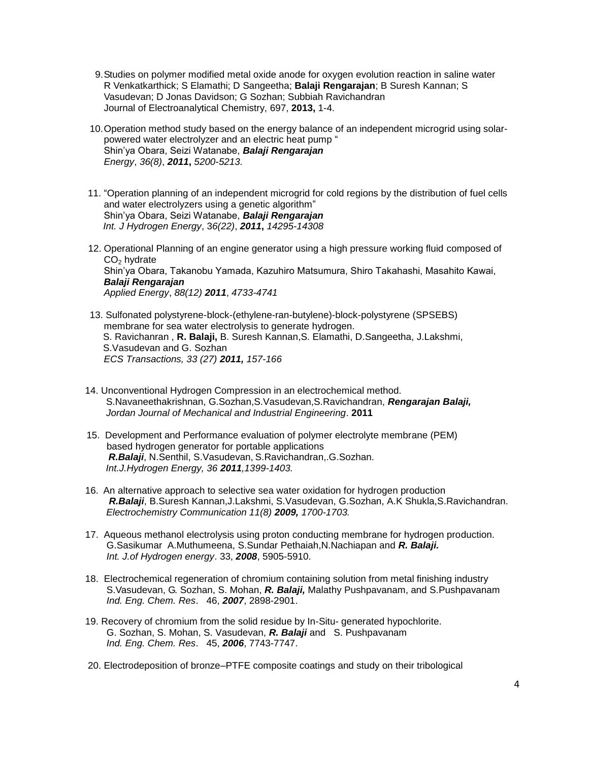- 9.Studies on polymer modified metal oxide anode for oxygen evolution reaction in saline water R Venkatkarthick; S Elamathi; D Sangeetha; **Balaji Rengarajan**; B Suresh Kannan; S Vasudevan; D Jonas Davidson; G Sozhan; Subbiah Ravichandran Journal of Electroanalytical Chemistry, 697, **2013,** 1-4.
- 10.Operation method study based on the energy balance of an independent microgrid using solarpowered water electrolyzer and an electric heat pump " Shin'ya Obara, Seizi Watanabe, *Balaji Rengarajan Energy*, *36(8)*, *2011***,** *5200-5213.*
- 11. "Operation planning of an independent microgrid for cold regions by the distribution of fuel cells and water electrolyzers using a genetic algorithm" Shin'ya Obara, Seizi Watanabe, *Balaji Rengarajan Int. J Hydrogen Energy*, 3*6(22)*, *2011***,** *14295-14308*
- 12. Operational Planning of an engine generator using a high pressure working fluid composed of  $CO<sub>2</sub>$  hydrate Shin'ya Obara, Takanobu Yamada, Kazuhiro Matsumura, Shiro Takahashi, Masahito Kawai, *Balaji Rengarajan Applied Energy*, *88(12) 2011*, *4733-4741*
- 13. Sulfonated polystyrene-block-(ethylene-ran-butylene)-block-polystyrene (SPSEBS) membrane for sea water electrolysis to generate hydrogen. S. Ravichanran , **R. Balaji,** B. Suresh Kannan,S. Elamathi, D.Sangeetha, J.Lakshmi, S.Vasudevan and G. Sozhan *ECS Transactions, 33 (27) 2011, 157-166*
- 14. Unconventional Hydrogen Compression in an electrochemical method. S.Navaneethakrishnan, G.Sozhan,S.Vasudevan,S.Ravichandran, *Rengarajan Balaji, Jordan Journal of Mechanical and Industrial Engineering*. **2011**
- 15. Development and Performance evaluation of polymer electrolyte membrane (PEM) based hydrogen generator for portable applications  *R.Balaji*, N.Senthil, S.Vasudevan, S.Ravichandran,.G.Sozhan. *Int.J.Hydrogen Energy, 36 2011,1399-1403.*
- 16. An alternative approach to selective sea water oxidation for hydrogen production *R.Balaji*, B.Suresh Kannan,J.Lakshmi, S.Vasudevan, G.Sozhan, A.K Shukla,S.Ravichandran.  *Electrochemistry Communication 11(8) 2009, 1700-1703.*
- 17. Aqueous methanol electrolysis using proton conducting membrane for hydrogen production. G.Sasikumar A.Muthumeena, S.Sundar Pethaiah,N.Nachiapan and *R. Balaji. Int. J.of Hydrogen energy*. 33, *2008*, 5905-5910.
- 18. Electrochemical regeneration of chromium containing solution from metal finishing industry S.Vasudevan, G. Sozhan, S. Mohan, *R. Balaji,* Malathy Pushpavanam, and S.Pushpavanam *Ind. Eng. Chem. Res*. 46, *2007*, 2898-2901.
- 19. Recovery of chromium from the solid residue by In-Situ- generated hypochlorite. G. Sozhan, S. Mohan, S. Vasudevan, *R. Balaji* and S. Pushpavanam *Ind. Eng. Chem. Res*. 45, *2006*, 7743-7747.
- 20. Electrodeposition of bronze–PTFE composite coatings and study on their tribological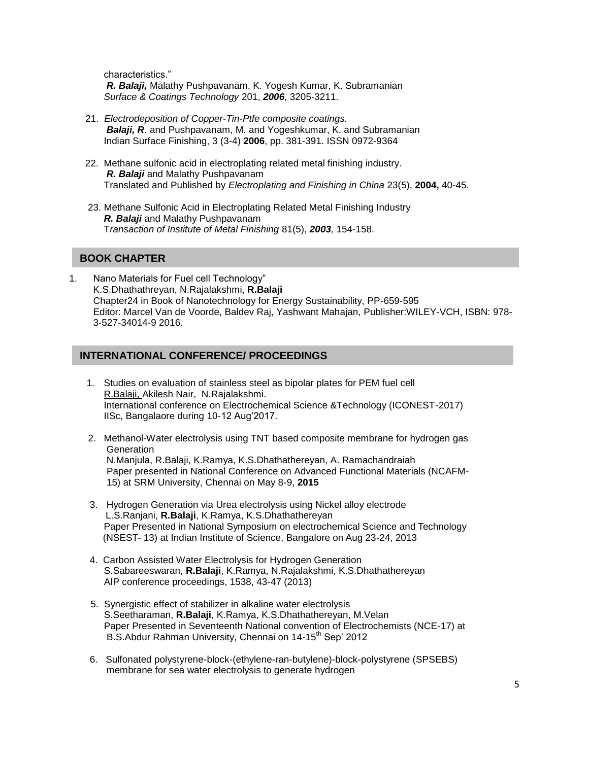characteristics." *R. Balaji,* Malathy Pushpavanam, K. Yogesh Kumar, K. Subramanian *Surface & Coatings Technology* 201, *2006,* 3205-3211.

- 21. *Electrodeposition of Copper-Tin-Ptfe composite coatings. Balaji, R*. and Pushpavanam, M. and Yogeshkumar, K. and Subramanian Indian Surface Finishing, 3 (3-4) **2006**, pp. 381-391. ISSN 0972-9364
- 22. Methane sulfonic acid in electroplating related metal finishing industry. *R. Balaji* and Malathy Pushpavanam Translated and Published by *Electroplating and Finishing in China* 23(5), **2004,** 40-45.
- 23. Methane Sulfonic Acid in Electroplating Related Metal Finishing Industry *R. Balaji* and Malathy Pushpavanam T*ransaction of Institute of Metal Finishing* 81(5), *2003,* 154-158.

#### **BOOK CHAPTER**

1. Nano Materials for Fuel cell Technology" 1. Nafio Materials for Fuercell Technology<br>K.S.Dhathathreyan, N.Rajalakshmi, **R.Balaji** Chapter24 in Book of Nanotechnology for Energy Sustainability, PP-659-595 Editor: Marcel Van de Voorde, Baldev Raj, Yashwant Mahajan, Publisher:WILEY-VCH, ISBN: 978- 3-527-34014-9 2016.

## **INTERNATIONAL CONFERENCE/ PROCEEDINGS**

- 1. Studies on evaluation of stainless steel as bipolar plates for PEM fuel cell R.Balaji, Akilesh Nair, N.Rajalakshmi. <u>ห.Balaji, Akliesn Nali, พ.ห</u>ajalaksnini.<br>International conference on Electrochemical Science &Technology (ICONEST-2017) IISc, Bangalaore during 10-12 Aug'2017.
	- 2. Methanol-Water electrolysis using TNT based composite membrane for hydrogen gas **Generation**  N.Manjula, R.Balaji, K.Ramya, K.S.Dhathathereyan, A. Ramachandraiah Paper presented in National Conference on Advanced Functional Materials (NCAFM- 15) at SRM University, Chennai on May 8-9, **2015**
	- 3. Hydrogen Generation via Urea electrolysis using Nickel alloy electrode L.S.Ranjani, **R.Balaji**, K.Ramya, K.S.Dhathathereyan Paper Presented in National Symposium on electrochemical Science and Technology (NSEST- 13) at Indian Institute of Science, Bangalore on Aug 23-24, 2013
	- 4. Carbon Assisted Water Electrolysis for Hydrogen Generation S.Sabareeswaran, **R.Balaji**, K.Ramya, N.Rajalakshmi, K.S.Dhathathereyan AIP conference proceedings, 1538, 43-47 (2013)
	- 5. Synergistic effect of stabilizer in alkaline water electrolysis S.Seetharaman, **R.Balaji**, K.Ramya, K.S.Dhathathereyan, M.Velan Paper Presented in Seventeenth National convention of Electrochemists (NCE-17) at B.S.Abdur Rahman University, Chennai on 14-15<sup>th</sup> Sep' 2012
	- 6. Sulfonated polystyrene-block-(ethylene-ran-butylene)-block-polystyrene (SPSEBS) membrane for sea water electrolysis to generate hydrogen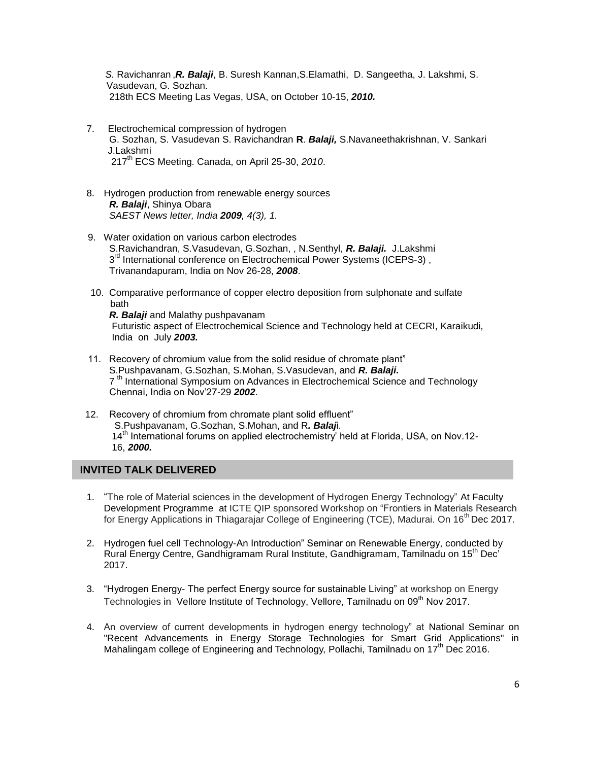*S.* Ravichanran ,*R. Balaji*, B. Suresh Kannan,S.Elamathi, D. Sangeetha, J. Lakshmi, S. Vasudevan, G. Sozhan. 218th ECS Meeting Las Vegas, USA, on October 10-15, *2010.*

- 7. Electrochemical compression of hydrogen G. Sozhan, S. Vasudevan S. Ravichandran **R**. *Balaji,* S.Navaneethakrishnan, V. Sankari J.Lakshmi 217th ECS Meeting. Canada, on April 25-30, *2010*.
- 8. Hydrogen production from renewable energy sources  *R. Balaji*, Shinya Obara  *SAEST News letter, India 2009, 4(3), 1.*
- 9. Water oxidation on various carbon electrodes S.Ravichandran, S.Vasudevan, G.Sozhan, , N.Senthyl, *R. Balaji.* J.Lakshmi 3<sup>rd</sup> International conference on Electrochemical Power Systems (ICEPS-3), Trivanandapuram, India on Nov 26-28, *2008*.
	- 10. Comparative performance of copper electro deposition from sulphonate and sulfate bath

 *R. Balaji* and Malathy pushpavanam Futuristic aspect of Electrochemical Science and Technology held at CECRI, Karaikudi, India on July *2003.*

- 11. Recovery of chromium value from the solid residue of chromate plant" S.Pushpavanam, G.Sozhan, S.Mohan, S.Vasudevan, and *R. Balaji.*  7<sup>th</sup> International Symposium on Advances in Electrochemical Science and Technology Chennai, India on Nov'27-29 *2002*.
- 12. Recovery of chromium from chromate plant solid effluent" S.Pushpavanam, G.Sozhan, S.Mohan, and R*. Balaj*i. 14<sup>th</sup> International forums on applied electrochemistry' held at Florida, USA, on Nov.12-16, *2000.*

# **INVITED TALK DELIVERED**

- 1. "The role of Material sciences in the development of Hydrogen Energy Technology" At Faculty Development Programme at ICTE QIP sponsored Workshop on "Frontiers in Materials Research Development Programme fat it it is given sored workshop on Frontiers in Materials Research<br>for Energy Applications in Thiagarajar College of Engineering (TCE), Madurai. On 16<sup>th</sup> Dec 2017.
- 2. Hydrogen fuel cell Technology-An Introduction" Seminar on Renewable Energy, conducted by Rural Energy Centre, Gandhigramam Rural Institute, Gandhigramam, Tamilnadu on 15<sup>th</sup> Dec<sup>7</sup> 2017.
- 3. "Hydrogen Energy- The perfect Energy source for sustainable Living" at workshop on Energy Technologies in Vellore Institute of Technology, Vellore, Tamilnadu on 09<sup>th</sup> Nov 2017.
- 4. An overview of current developments in hydrogen energy technology" at National Seminar on "Recent Advancements in Energy Storage Technologies for Smart Grid Applications" in Mahalingam college of Engineering and Technology, Pollachi, Tamilnadu on  $17<sup>th</sup>$  Dec 2016.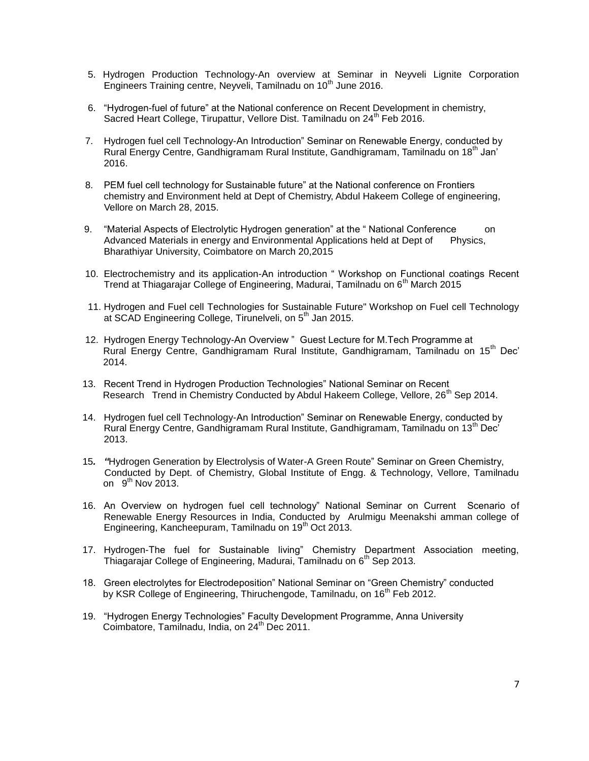- 5. Hydrogen Production Technology-An overview at Seminar in Neyveli Lignite Corporation Engineers Training centre, Neyveli, Tamilnadu on 10<sup>th</sup> June 2016.
- 6. "Hydrogen-fuel of future" at the National conference on Recent Development in chemistry, Sacred Heart College, Tirupattur, Vellore Dist. Tamilnadu on 24<sup>th</sup> Feb 2016.
- 7. Hydrogen fuel cell Technology-An Introduction" Seminar on Renewable Energy, conducted by Rural Energy Centre, Gandhigramam Rural Institute, Gandhigramam, Tamilnadu on 18<sup>th</sup> Jan' 2016.
- 8. PEM fuel cell technology for Sustainable future" at the National conference on Frontiers chemistry and Environment held at Dept of Chemistry, Abdul Hakeem College of engineering, Vellore on March 28, 2015.
- 9. "Material Aspects of Electrolytic Hydrogen generation" at the "National Conference on Advanced Materials in energy and Environmental Applications held at Dept of Physics, Bharathiyar University, Coimbatore on March 20,2015
- 10. Electrochemistry and its application-An introduction " Workshop on Functional coatings Recent Trend at Thiagarajar College of Engineering, Madurai, Tamilnadu on 6<sup>th</sup> March 2015
- 11. Hydrogen and Fuel cell Technologies for Sustainable Future" Workshop on Fuel cell Technology at SCAD Engineering College, Tirunelveli, on 5<sup>th</sup> Jan 2015.
- 12. Hydrogen Energy Technology-An Overview " Guest Lecture for M.Tech Programme at Rural Energy Centre, Gandhigramam Rural Institute, Gandhigramam, Tamilnadu on 15<sup>th</sup> Dec' 2014.
- 13. Recent Trend in Hydrogen Production Technologies" National Seminar on Recent Research Trend in Chemistry Conducted by Abdul Hakeem College, Vellore,  $26<sup>th</sup>$  Sep 2014.
- 14. Hydrogen fuel cell Technology-An Introduction" Seminar on Renewable Energy, conducted by Rural Energy Centre, Gandhigramam Rural Institute, Gandhigramam, Tamilnadu on 13<sup>th</sup> Dec' 2013.
- 15*. "*Hydrogen Generation by Electrolysis of Water-A Green Route" Seminar on Green Chemistry, Conducted by Dept. of Chemistry, Global Institute of Engg. & Technology, Vellore, Tamilnadu on  $9^{th}$  Nov 2013.
- 16. An Overview on hydrogen fuel cell technology" National Seminar on Current Scenario of Renewable Energy Resources in India, Conducted by Arulmigu Meenakshi amman college of Engineering, Kancheepuram, Tamilnadu on 19<sup>th</sup> Oct 2013.
- 17. Hydrogen-The fuel for Sustainable living" Chemistry Department Association meeting, Thiagarajar College of Engineering, Madurai, Tamilnadu on 6<sup>th</sup> Sep 2013.
- 18. Green electrolytes for Electrodeposition" National Seminar on "Green Chemistry" conducted by KSR College of Engineering, Thiruchengode, Tamilnadu, on 16<sup>th</sup> Feb 2012.
- 19. "Hydrogen Energy Technologies" Faculty Development Programme, Anna University Coimbatore, Tamilnadu, India, on  $24<sup>th</sup>$  Dec 2011.